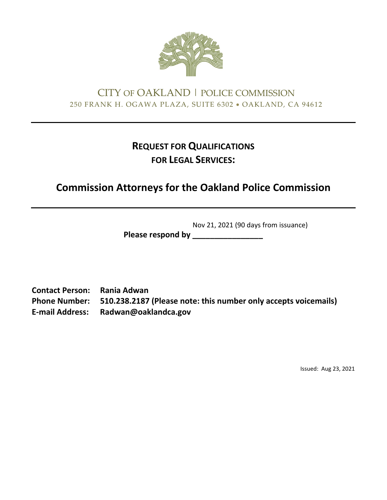

# CITY OF OAKLAND | POLICE COMMISSION 250 FRANK H. OGAWA PLAZA, SUITE 6302 • OAKLAND, CA 94612

# **REQUEST FOR QUALIFICATIONS FOR LEGAL SERVICES:**

# **Commission Attorneys for the Oakland Police Commission**

Nov 21, 2021 (90 days from issuance)

**Please respond by \_\_\_\_\_\_\_\_\_\_\_\_\_\_\_\_**

**Contact Person: Rania Adwan Phone Number: 510.238.2187 (Please note: this number only accepts voicemails) E‐mail Address: Radwan@oaklandca.gov**

Issued: Aug 23, 2021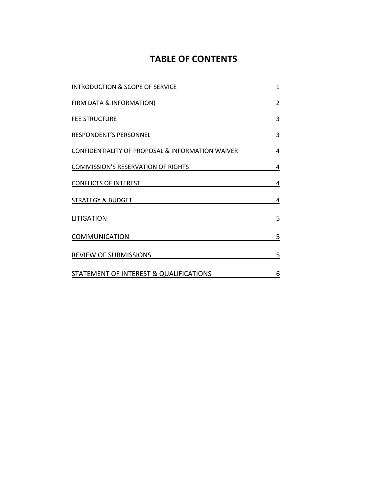# **TABLE OF CONTENTS**

| INTRODUCTION & SCOPE OF SERVICE                                                       | $\mathbf 1$                              |                                                  |   |
|---------------------------------------------------------------------------------------|------------------------------------------|--------------------------------------------------|---|
| <b>FIRM DATA &amp; INFORMATION)</b><br><b>FEE STRUCTURE</b><br>RESPONDENT'S PERSONNEL | $\overline{\mathbf{c}}$<br>3<br><u>3</u> |                                                  |   |
|                                                                                       |                                          | CONFIDENTIALITY OF PROPOSAL & INFORMATION WAIVER | 4 |
|                                                                                       |                                          | <b>COMMISSION'S RESERVATION OF RIGHTS</b>        | 4 |
| <b>CONFLICTS OF INTEREST</b>                                                          | 4                                        |                                                  |   |
| <b>STRATEGY &amp; BUDGET</b>                                                          | 4                                        |                                                  |   |
| <b>LITIGATION</b>                                                                     | 5                                        |                                                  |   |
| <b>COMMUNICATION</b>                                                                  | 5                                        |                                                  |   |
| <b>REVIEW OF SUBMISSIONS</b>                                                          | 5                                        |                                                  |   |
| STATEMENT OF INTEREST & QUALIFICATIONS                                                | 6                                        |                                                  |   |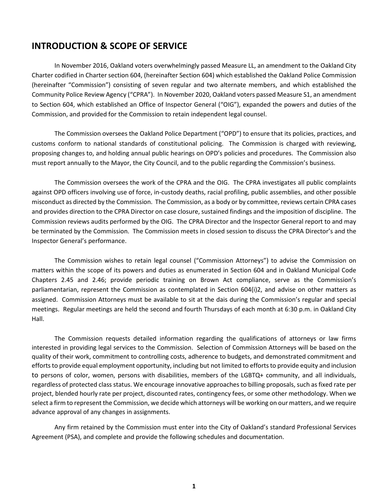#### **INTRODUCTION & SCOPE OF SERVICE**

In November 2016, Oakland voters overwhelmingly passed Measure LL, an amendment to the Oakland City Charter codified in Charter section 604, (hereinafter Section 604) which established the Oakland Police Commission (hereinafter "Commission") consisting of seven regular and two alternate members, and which established the Community Police Review Agency ("CPRA"). In November 2020, Oakland voters passed Measure S1, an amendment to Section 604, which established an Office of Inspector General ("OIG"), expanded the powers and duties of the Commission, and provided for the Commission to retain independent legal counsel.

The Commission oversees the Oakland Police Department ("OPD") to ensure that its policies, practices, and customs conform to national standards of constitutional policing. The Commission is charged with reviewing, proposing changes to, and holding annual public hearings on OPD's policies and procedures. The Commission also must report annually to the Mayor, the City Council, and to the public regarding the Commission's business.

The Commission oversees the work of the CPRA and the OIG. The CPRA investigates all public complaints against OPD officers involving use of force, in-custody deaths, racial profiling, public assemblies, and other possible misconduct as directed by the Commission. The Commission, as a body or by committee, reviews certain CPRA cases and provides direction to the CPRA Director on case closure, sustained findings and the imposition of discipline. The Commission reviews audits performed by the OIG. The CPRA Director and the Inspector General report to and may be terminated by the Commission. The Commission meets in closed session to discuss the CPRA Director's and the Inspector General's performance.

The Commission wishes to retain legal counsel ("Commission Attorneys") to advise the Commission on matters within the scope of its powers and duties as enumerated in Section 604 and in Oakland Municipal Code Chapters 2.45 and 2.46; provide periodic training on Brown Act compliance, serve as the Commission's parliamentarian, represent the Commission as contemplated in Section 604(i)2, and advise on other matters as assigned. Commission Attorneys must be available to sit at the dais during the Commission's regular and special meetings. Regular meetings are held the second and fourth Thursdays of each month at 6:30 p.m. in Oakland City Hall.

The Commission requests detailed information regarding the qualifications of attorneys or law firms interested in providing legal services to the Commission. Selection of Commission Attorneys will be based on the quality of their work, commitment to controlling costs, adherence to budgets, and demonstrated commitment and efforts to provide equal employment opportunity, including but not limited to efforts to provide equity and inclusion to persons of color, women, persons with disabilities, members of the LGBTQ+ community, and all individuals, regardless of protected class status. We encourage innovative approaches to billing proposals, such as fixed rate per project, blended hourly rate per project, discounted rates, contingency fees, or some other methodology. When we select a firm to represent the Commission, we decide which attorneys will be working on our matters, and we require advance approval of any changes in assignments.

Any firm retained by the Commission must enter into the City of Oakland's standard Professional Services Agreement (PSA), and complete and provide the following schedules and documentation.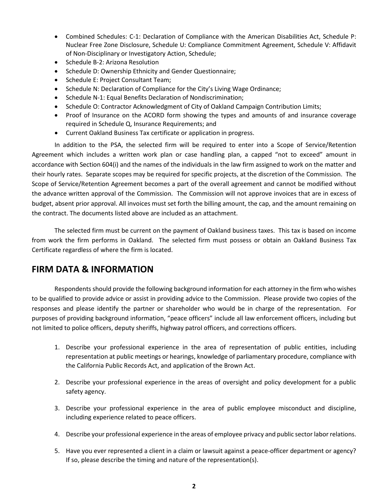- Combined Schedules: C-1: Declaration of Compliance with the American Disabilities Act, Schedule P: Nuclear Free Zone Disclosure, Schedule U: Compliance Commitment Agreement, Schedule V: Affidavit of Non-Disciplinary or Investigatory Action, Schedule;
- Schedule B-2: Arizona Resolution
- Schedule D: Ownership Ethnicity and Gender Questionnaire;
- Schedule E: Project Consultant Team;
- Schedule N: Declaration of Compliance for the City's Living Wage Ordinance;
- Schedule N-1: Equal Benefits Declaration of Nondiscrimination;
- Schedule O: Contractor Acknowledgment of City of Oakland Campaign Contribution Limits;
- Proof of Insurance on the ACORD form showing the types and amounts of and insurance coverage required in Schedule Q, Insurance Requirements; and
- Current Oakland Business Tax certificate or application in progress.

In addition to the PSA, the selected firm will be required to enter into a Scope of Service/Retention Agreement which includes a written work plan or case handling plan, a capped "not to exceed" amount in accordance with Section 604(i) and the names of the individuals in the law firm assigned to work on the matter and their hourly rates. Separate scopes may be required for specific projects, at the discretion of the Commission. The Scope of Service/Retention Agreement becomes a part of the overall agreement and cannot be modified without the advance written approval of the Commission. The Commission will not approve invoices that are in excess of budget, absent prior approval. All invoices must set forth the billing amount, the cap, and the amount remaining on the contract. The documents listed above are included as an attachment.

The selected firm must be current on the payment of Oakland business taxes. This tax is based on income from work the firm performs in Oakland. The selected firm must possess or obtain an Oakland Business Tax Certificate regardless of where the firm is located.

### **FIRM DATA & INFORMATION**

Respondents should provide the following background information for each attorney in the firm who wishes to be qualified to provide advice or assist in providing advice to the Commission. Please provide two copies of the responses and please identify the partner or shareholder who would be in charge of the representation. For purposes of providing background information, "peace officers" include all law enforcement officers, including but not limited to police officers, deputy sheriffs, highway patrol officers, and corrections officers.

- 1. Describe your professional experience in the area of representation of public entities, including representation at public meetings or hearings, knowledge of parliamentary procedure, compliance with the California Public Records Act, and application of the Brown Act.
- 2. Describe your professional experience in the areas of oversight and policy development for a public safety agency.
- 3. Describe your professional experience in the area of public employee misconduct and discipline, including experience related to peace officers.
- 4. Describe your professional experience in the areas of employee privacy and public sector labor relations.
- 5. Have you ever represented a client in a claim or lawsuit against a peace-officer department or agency? If so, please describe the timing and nature of the representation(s).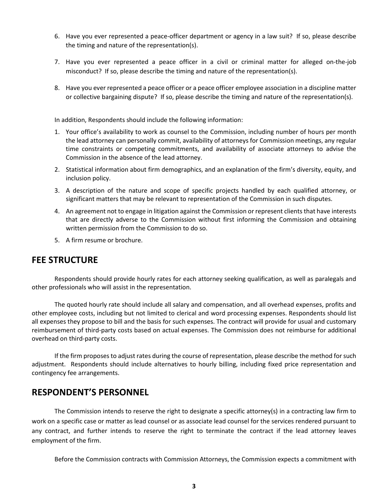- 6. Have you ever represented a peace-officer department or agency in a law suit? If so, please describe the timing and nature of the representation(s).
- 7. Have you ever represented a peace officer in a civil or criminal matter for alleged on-the-job misconduct? If so, please describe the timing and nature of the representation(s).
- 8. Have you ever represented a peace officer or a peace officer employee association in a discipline matter or collective bargaining dispute? If so, please describe the timing and nature of the representation(s).

In addition, Respondents should include the following information:

- 1. Your office's availability to work as counsel to the Commission, including number of hours per month the lead attorney can personally commit, availability of attorneys for Commission meetings, any regular time constraints or competing commitments, and availability of associate attorneys to advise the Commission in the absence of the lead attorney.
- 2. Statistical information about firm demographics, and an explanation of the firm's diversity, equity, and inclusion policy.
- 3. A description of the nature and scope of specific projects handled by each qualified attorney, or significant matters that may be relevant to representation of the Commission in such disputes.
- 4. An agreement not to engage in litigation against the Commission or represent clients that have interests that are directly adverse to the Commission without first informing the Commission and obtaining written permission from the Commission to do so.
- 5. A firm resume or brochure.

#### **FEE STRUCTURE**

Respondents should provide hourly rates for each attorney seeking qualification, as well as paralegals and other professionals who will assist in the representation.

The quoted hourly rate should include all salary and compensation, and all overhead expenses, profits and other employee costs, including but not limited to clerical and word processing expenses. Respondents should list all expenses they propose to bill and the basis for such expenses. The contract will provide for usual and customary reimbursement of third-party costs based on actual expenses. The Commission does not reimburse for additional overhead on third-party costs.

If the firm proposes to adjust rates during the course of representation, please describe the method for such adjustment. Respondents should include alternatives to hourly billing, including fixed price representation and contingency fee arrangements.

#### **RESPONDENT'S PERSONNEL**

The Commission intends to reserve the right to designate a specific attorney(s) in a contracting law firm to work on a specific case or matter as lead counsel or as associate lead counsel for the services rendered pursuant to any contract, and further intends to reserve the right to terminate the contract if the lead attorney leaves employment of the firm.

Before the Commission contracts with Commission Attorneys, the Commission expects a commitment with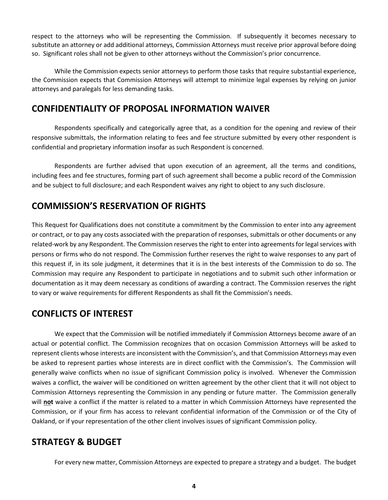respect to the attorneys who will be representing the Commission. If subsequently it becomes necessary to substitute an attorney or add additional attorneys, Commission Attorneys must receive prior approval before doing so. Significant roles shall not be given to other attorneys without the Commission's prior concurrence.

While the Commission expects senior attorneys to perform those tasks that require substantial experience, the Commission expects that Commission Attorneys will attempt to minimize legal expenses by relying on junior attorneys and paralegals for less demanding tasks.

#### **CONFIDENTIALITY OF PROPOSAL INFORMATION WAIVER**

Respondents specifically and categorically agree that, as a condition for the opening and review of their responsive submittals, the information relating to fees and fee structure submitted by every other respondent is confidential and proprietary information insofar as such Respondent is concerned.

Respondents are further advised that upon execution of an agreement, all the terms and conditions, including fees and fee structures, forming part of such agreement shall become a public record of the Commission and be subject to full disclosure; and each Respondent waives any right to object to any such disclosure.

# **COMMISSION'S RESERVATION OF RIGHTS**

This Request for Qualifications does not constitute a commitment by the Commission to enter into any agreement or contract, or to pay any costs associated with the preparation of responses, submittals or other documents or any related-work by any Respondent. The Commission reserves the right to enter into agreements for legal services with persons or firms who do not respond. The Commission further reserves the right to waive responses to any part of this request if, in its sole judgment, it determines that it is in the best interests of the Commission to do so. The Commission may require any Respondent to participate in negotiations and to submit such other information or documentation as it may deem necessary as conditions of awarding a contract. The Commission reserves the right to vary or waive requirements for different Respondents as shall fit the Commission's needs.

# **CONFLICTS OF INTEREST**

We expect that the Commission will be notified immediately if Commission Attorneys become aware of an actual or potential conflict. The Commission recognizes that on occasion Commission Attorneys will be asked to represent clients whose interests are inconsistent with the Commission's, and that Commission Attorneys may even be asked to represent parties whose interests are in direct conflict with the Commission's. The Commission will generally waive conflicts when no issue of significant Commission policy is involved. Whenever the Commission waives a conflict, the waiver will be conditioned on written agreement by the other client that it will not object to Commission Attorneys representing the Commission in any pending or future matter. The Commission generally will **not** waive a conflict if the matter is related to a matter in which Commission Attorneys have represented the Commission, or if your firm has access to relevant confidential information of the Commission or of the City of Oakland, or if your representation of the other client involves issues of significant Commission policy.

# **STRATEGY & BUDGET**

For every new matter, Commission Attorneys are expected to prepare a strategy and a budget. The budget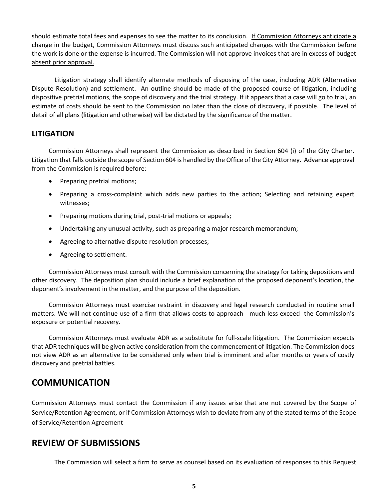should estimate total fees and expenses to see the matter to its conclusion. If Commission Attorneys anticipate a change in the budget, Commission Attorneys must discuss such anticipated changes with the Commission before the work is done or the expense is incurred. The Commission will not approve invoices that are in excess of budget absent prior approval.

Litigation strategy shall identify alternate methods of disposing of the case, including ADR (Alternative Dispute Resolution) and settlement. An outline should be made of the proposed course of litigation, including dispositive pretrial motions, the scope of discovery and the trial strategy. If it appears that a case will go to trial, an estimate of costs should be sent to the Commission no later than the close of discovery, if possible. The level of detail of all plans (litigation and otherwise) will be dictated by the significance of the matter.

#### **LITIGATION**

Commission Attorneys shall represent the Commission as described in Section 604 (i) of the City Charter. Litigation that falls outside the scope of Section 604 is handled by the Office of the City Attorney. Advance approval from the Commission is required before:

- Preparing pretrial motions;
- Preparing a cross-complaint which adds new parties to the action; Selecting and retaining expert witnesses;
- Preparing motions during trial, post-trial motions or appeals;
- Undertaking any unusual activity, such as preparing a major research memorandum;
- Agreeing to alternative dispute resolution processes;
- Agreeing to settlement.

Commission Attorneys must consult with the Commission concerning the strategy for taking depositions and other discovery. The deposition plan should include a brief explanation of the proposed deponent's location, the deponent's involvement in the matter, and the purpose of the deposition.

Commission Attorneys must exercise restraint in discovery and legal research conducted in routine small matters. We will not continue use of a firm that allows costs to approach - much less exceed- the Commission's exposure or potential recovery.

Commission Attorneys must evaluate ADR as a substitute for full-scale litigation. The Commission expects that ADR techniques will be given active consideration from the commencement of litigation. The Commission does not view ADR as an alternative to be considered only when trial is imminent and after months or years of costly discovery and pretrial battles.

# **COMMUNICATION**

Commission Attorneys must contact the Commission if any issues arise that are not covered by the Scope of Service/Retention Agreement, or if Commission Attorneys wish to deviate from any of the stated terms of the Scope of Service/Retention Agreement

### **REVIEW OF SUBMISSIONS**

The Commission will select a firm to serve as counsel based on its evaluation of responses to this Request